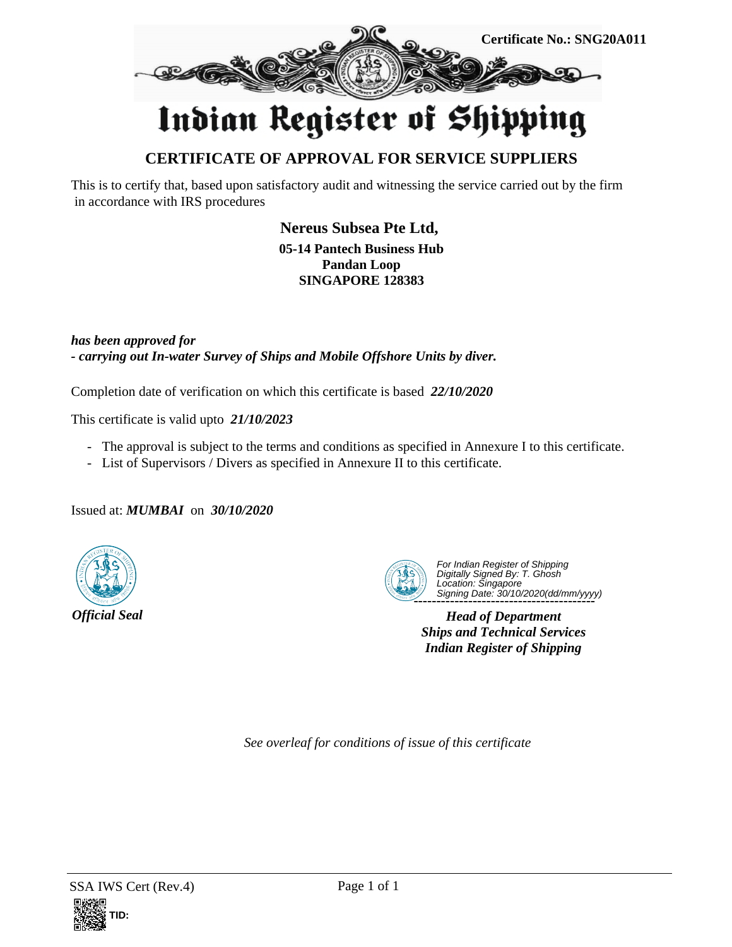

## Indian Register of Shipping

## **CERTIFICATE OF APPROVAL FOR SERVICE SUPPLIERS**

This is to certify that, based upon satisfactory audit and witnessing the service carried out by the firm in accordance with IRS procedures

> **Nereus Subsea Pte Ltd, 05-14 Pantech Business Hub Pandan Loop SINGAPORE 128383**

*has been approved for - carrying out In-water Survey of Ships and Mobile Offshore Units by diver.*

Completion date of verification on which this certificate is based *22/10/2020*

This certificate is valid upto *21/10/2023*

- The approval is subject to the terms and conditions as specified in Annexure I to this certificate.
- List of Supervisors / Divers as specified in Annexure II to this certificate.

Issued at: *MUMBAI* on *30/10/2020*





 **----------------------------------------** For Indian Register of Shipping Digitally Signed By: T. Ghosh Location: Singapore Signing Date: 30/10/2020(dd/mm/yyyy)

*Head of Department Ships and Technical Services Indian Register of Shipping*

*See overleaf for conditions of issue of this certificate*